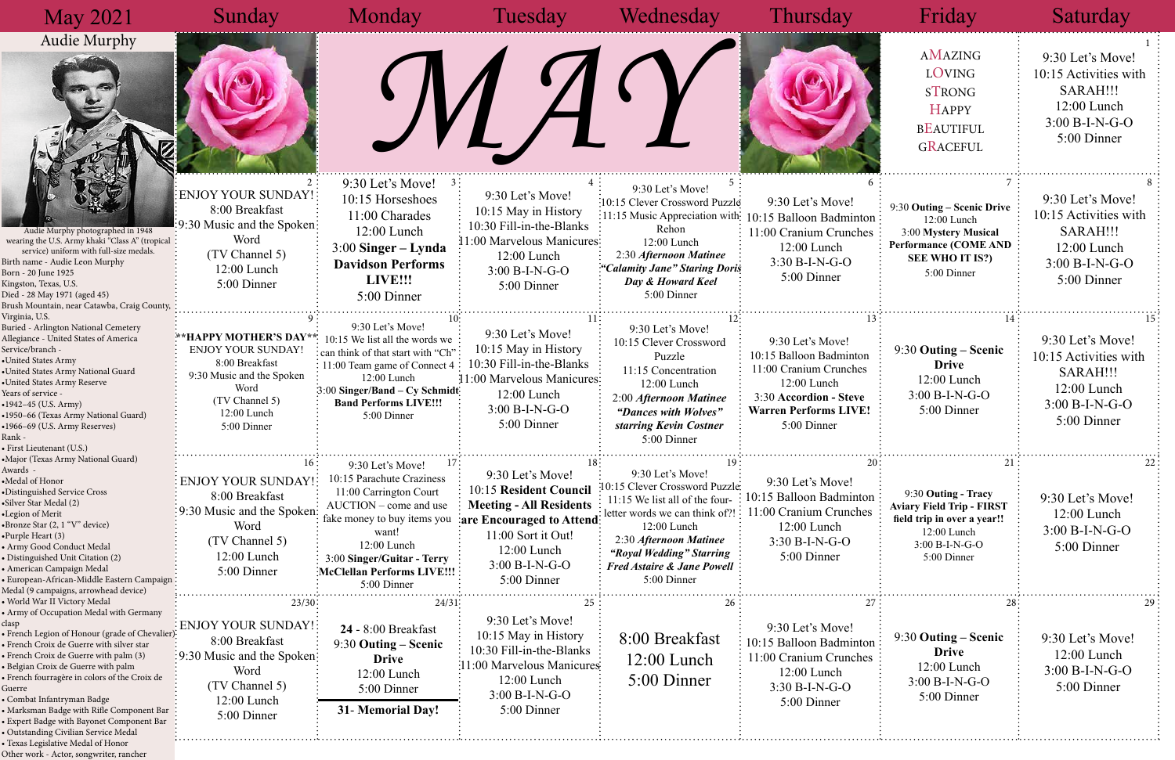| <b>May 2021</b>                                                                                                                                                                                                                                                                                                                                                                                                                                                                                                                | Sunday                                                                                                                                              | Monday                                                                                                                                                                                                                                | Tuesday                                                                                                                                                                         | Wednesday                                                                                                                                                                                                                                            | Thursday                                                                                                                                                      | Friday                                                                                                                                     | Saturday                                                                                                  |
|--------------------------------------------------------------------------------------------------------------------------------------------------------------------------------------------------------------------------------------------------------------------------------------------------------------------------------------------------------------------------------------------------------------------------------------------------------------------------------------------------------------------------------|-----------------------------------------------------------------------------------------------------------------------------------------------------|---------------------------------------------------------------------------------------------------------------------------------------------------------------------------------------------------------------------------------------|---------------------------------------------------------------------------------------------------------------------------------------------------------------------------------|------------------------------------------------------------------------------------------------------------------------------------------------------------------------------------------------------------------------------------------------------|---------------------------------------------------------------------------------------------------------------------------------------------------------------|--------------------------------------------------------------------------------------------------------------------------------------------|-----------------------------------------------------------------------------------------------------------|
| <b>Audie Murphy</b>                                                                                                                                                                                                                                                                                                                                                                                                                                                                                                            |                                                                                                                                                     |                                                                                                                                                                                                                                       |                                                                                                                                                                                 |                                                                                                                                                                                                                                                      |                                                                                                                                                               | AMAZING<br><b>LOVING</b><br><b>STRONG</b><br><b>HAPPY</b><br><b>BEAUTIFUL</b><br><b>GRACEFUL</b>                                           | 9:30 Let's Move!<br>10:15 Activities with<br>SARAH!!!<br>12:00 Lunch<br>$3:00 B-I-N-G-O$<br>5:00 Dinner   |
| Audie Murphy photographed in 1948<br>wearing the U.S. Army khaki "Class A" (tropical:<br>service) uniform with full-size medals.<br>Birth name - Audie Leon Murphy<br>Born - 20 June 1925<br>Kingston, Texas, U.S.<br>Died - 28 May 1971 (aged 45)<br>Brush Mountain, near Catawba, Craig County,                                                                                                                                                                                                                              | ENJOY YOUR SUNDAY!<br>8:00 Breakfast<br>:9:30 Music and the Spoken:<br>Word<br>(TV Channel 5)<br>$12:00$ Lunch<br>5:00 Dinner                       | 9:30 Let's Move!<br>10:15 Horseshoes<br>11:00 Charades<br>$12:00$ Lunch<br>$3:00$ Singer – Lynda<br><b>Davidson Performs</b><br>LIVE!!!<br>5:00 Dinner                                                                                | 9:30 Let's Move!<br>10:15 May in History<br>$10:30$ Fill-in-the-Blanks<br>11:00 Marvelous Manicures:<br>12:00 Lunch<br>3:00 B-I-N-G-O<br>5:00 Dinner                            | 9:30 Let's Move!<br>10:15 Clever Crossword Puzzle<br>Rehon<br>12:00 Lunch<br>2:30 Afternoon Matinee<br>"Calamity Jane" Staring Doris<br>Day & Howard Keel<br>5:00 Dinner                                                                             | 9:30 Let's Move!<br>:11:15 Music Appreciation with: 10:15 Balloon Badminton:<br>11:00 Cranium Crunches<br>12:00 Lunch<br>3:30 B-I-N-G-O<br>5:00 Dinner        | 9:30 Outing – Scenic Drive<br>12:00 Lunch<br>3:00 Mystery Musical<br><b>Performance (COME AND</b><br><b>SEE WHO IT IS?)</b><br>5:00 Dinner | 9:30 Let's Move!<br>10:15 Activities with<br>SARAH!!!<br>$12:00$ Lunch<br>$3:00 B-I-N-G-O$<br>5:00 Dinner |
| Virginia, U.S.<br>Buried - Arlington National Cemetery<br>Allegiance - United States of America<br>Service/branch -<br>•United States Army<br>•United States Army National Guard<br>•United States Army Reserve<br>Years of service -<br>$•1942-45$ (U.S. Army)<br>•1950-66 (Texas Army National Guard)<br>•1966-69 (U.S. Army Reserves)<br>Rank -<br>· First Lieutenant (U.S.)                                                                                                                                                | **HAPPY MOTHER'S DAY**<br>ENJOY YOUR SUNDAY!<br>8:00 Breakfast<br>9:30 Music and the Spoken<br>Word<br>(TV Channel 5)<br>12:00 Lunch<br>5:00 Dinner | 9:30 Let's Move!<br>10:15 We list all the words we<br>: can think of that start with "Ch"<br>: 11:00 Team game of Connect 4<br>12:00 Lunch<br>3:00 Singer/Band – Cy Schmidt<br><b>Band Performs LIVE!!!</b><br>5:00 Dinner            | 9:30 Let's Move!<br>10:15 May in History<br>10:30 Fill-in-the-Blanks<br>11:00 Marvelous Manicures:<br>12:00 Lunch<br>$3:00 B-I-N-G-O$<br>5:00 Dinner                            | 9:30 Let's Move!<br>10:15 Clever Crossword<br>Puzzle<br>11:15 Concentration<br>12:00 Lunch<br>2:00 Afternoon Matinee<br>"Dances with Wolves"<br>starring Kevin Costner<br>5:00 Dinner                                                                | 9:30 Let's Move!<br>10:15 Balloon Badminton<br>11:00 Cranium Crunches<br>12:00 Lunch<br>3:30 Accordion - Steve<br><b>Warren Performs LIVE!</b><br>5:00 Dinner | 9:30 Outing – Scenic<br><b>Drive</b><br>$12:00$ Lunch<br>$3:00 B-I-N-G-O$<br>5:00 Dinner                                                   | 9:30 Let's Move!<br>10:15 Activities with<br>SARAH!!!<br>12:00 Lunch<br>$3:00 B-I-N-G-O$<br>5:00 Dinner   |
| «Major (Texas Army National Guard)<br>Awards -<br>•Medal of Honor<br>·Distinguished Service Cross<br>·Silver Star Medal (2)<br>•Legion of Merit<br>•Bronze Star (2, 1 "V" device)<br>•Purple Heart (3)<br>· Army Good Conduct Medal<br>· Distinguished Unit Citation (2)<br>• American Campaign Medal<br>European-African-Middle Eastern Campaign<br>Medal (9 campaigns, arrowhead device)                                                                                                                                     | 16:<br><b>ENJOY YOUR SUNDAY!</b><br>8:00 Breakfast<br>:30 Music and the Spoken?<br>Word<br>(TV Channel 5)<br>$12:00$ Lunch<br>5:00 Dinner           | 9:30 Let's Move!<br>10:15 Parachute Craziness<br>11:00 Carrington Court<br>AUCTION – come and use<br>fake money to buy items you<br>want!<br>$12:00$ Lunch<br>3:00 Singer/Guitar - Terry<br>McClellan Performs LIVE!!!<br>5:00 Dinner | 9:30 Let's Move!<br>10:15 Resident Council<br><b>Meeting - All Residents</b><br>are Encouraged to Attend:<br>11:00 Sort it Out!<br>12:00 Lunch<br>3:00 B-I-N-G-O<br>5:00 Dinner | 9:30 Let's Move!<br>10:15 Clever Crossword Puzzle<br>11:15 We list all of the four-<br>letter words we can think of?!<br>$12:00$ Lunch<br>2:30 Afternoon Matinee<br>"Royal Wedding" Starring<br><b>Fred Astaire &amp; Jane Powell</b><br>5:00 Dinner | 9:30 Let's Move!<br>10:15 Balloon Badminton<br>11:00 Cranium Crunches<br>12:00 Lunch<br>3:30 B-I-N-G-O<br>5:00 Dinner                                         | 9:30 Outing - Tracy<br><b>Aviary Field Trip - FIRST</b><br>field trip in over a year!!<br>12:00 Lunch<br>$3:00 B-I-N-G-O$<br>5:00 Dinner   | 9:30 Let's Move!<br>12:00 Lunch<br>3:00 B-I-N-G-O<br>5:00 Dinner                                          |
| · World War II Victory Medal<br>• Army of Occupation Medal with Germany<br>clasp<br>· French Legion of Honour (grade of Chevalier):<br>• French Croix de Guerre with silver star<br>· French Croix de Guerre with palm (3)<br>• Belgian Croix de Guerre with palm<br>· French fourragère in colors of the Croix de<br>Guerre<br>• Combat Infantryman Badge<br>Marksman Badge with Rifle Component Bar<br>Expert Badge with Bayonet Component Bar<br>· Outstanding Civilian Service Medal<br>· Texas Legislative Medal of Honor | 23/30<br>ENJOY YOUR SUNDAY!<br>8:00 Breakfast<br>:9:30 Music and the Spoken:<br>Word<br>(TV Channel 5)<br>12:00 Lunch<br>5:00 Dinner                | 24/31<br>$24 - 8:00$ Breakfast<br>9:30 Outing – Scenic<br><b>Drive</b><br>12:00 Lunch<br>5:00 Dinner<br>31- Memorial Day!                                                                                                             | 9:30 Let's Move!<br>10:15 May in History<br>10:30 Fill-in-the-Blanks<br>1:00 Marvelous Manicures<br>12:00 Lunch<br>$3:00 B-I-N-G-O$<br>5:00 Dinner                              | 8:00 Breakfast<br>$12:00$ Lunch<br>5:00 Dinner                                                                                                                                                                                                       | 9:30 Let's Move!<br>10:15 Balloon Badminton<br>11:00 Cranium Crunches<br>12:00 Lunch<br>3:30 B-I-N-G-O<br>5:00 Dinner                                         | 9:30 Outing – Scenic<br><b>Drive</b><br>12:00 Lunch<br>3:00 B-I-N-G-O<br>5:00 Dinner                                                       | 9:30 Let's Move!<br>12:00 Lunch<br>$3:00 B-I-N-G-O$<br>5:00 Dinner                                        |

Other work - Actor, songwriter, rancher